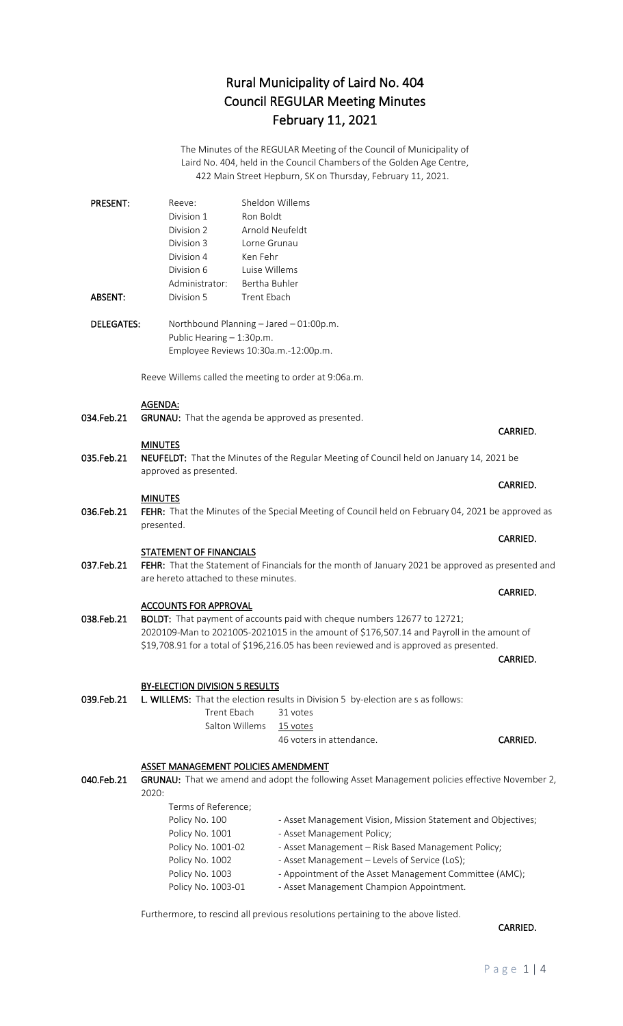# Rural Municipality of Laird No. 404 Council REGULAR Meeting Minutes February 11, 2021

The Minutes of the REGULAR Meeting of the Council of Municipality of Laird No. 404, held in the Council Chambers of the Golden Age Centre, 422 Main Street Hepburn, SK on Thursday, February 11, 2021.

| <b>PRESENT:</b>   | Reeve:                                  | Sheldon Willems |  |
|-------------------|-----------------------------------------|-----------------|--|
|                   | Division 1                              | Ron Boldt       |  |
|                   | Division 2                              | Arnold Neufeldt |  |
|                   | Division 3                              | Lorne Grunau    |  |
|                   | Division 4                              | Ken Fehr        |  |
|                   | Division 6                              | Luise Willems   |  |
|                   | Administrator:                          | Bertha Buhler   |  |
| <b>ABSENT:</b>    | Division 5                              | Trent Fhach     |  |
|                   |                                         |                 |  |
| <b>DELEGATES:</b> | Northbound Planning - Jared - 01:00p.m. |                 |  |
|                   | Public Hearing - 1:30p.m.               |                 |  |
|                   | Employee Reviews 10:30a.m.-12:00p.m.    |                 |  |

Reeve Willems called the meeting to order at 9:06a.m.

#### AGENDA:

034.Feb.21 GRUNAU: That the agenda be approved as presented.

#### **MINUTES**

035.Feb.21 NEUFELDT: That the Minutes of the Regular Meeting of Council held on January 14, 2021 be approved as presented.

**MINUTES** 

036.Feb.21 FEHR: That the Minutes of the Special Meeting of Council held on February 04, 2021 be approved as presented.

**CARRIED. CARRIED.** 

**CARRIED. CARRIED.** 

## STATEMENT OF FINANCIALS

037.Feb.21 FEHR: That the Statement of Financials for the month of January 2021 be approved as presented and are hereto attached to these minutes.

**CARRIED. CARRIED.** 

#### ACCOUNTS FOR APPROVAL

038.Feb.21 BOLDT: That payment of accounts paid with cheque numbers 12677 to 12721; 2020109-Man to 2021005-2021015 in the amount of \$176,507.14 and Payroll in the amount of \$19,708.91 for a total of \$196,216.05 has been reviewed and is approved as presented. CARRIED.

#### BY-ELECTION DIVISION 5 RESULTS

039.Feb.21 L. WILLEMS: That the election results in Division 5 by-election are s as follows:

#### Trent Ebach 31 votes

Salton Willems 15 votes

46 voters in attendance. CARRIED.

#### ASSET MANAGEMENT POLICIES AMENDMENT

040.Feb.21 GRUNAU: That we amend and adopt the following Asset Management policies effective November 2, 2020:

| Terms of Reference; |                                                              |
|---------------------|--------------------------------------------------------------|
| Policy No. 100      | - Asset Management Vision, Mission Statement and Objectives; |
| Policy No. 1001     | - Asset Management Policy;                                   |
| Policy No. 1001-02  | - Asset Management - Risk Based Management Policy;           |
| Policy No. 1002     | - Asset Management - Levels of Service (LoS);                |
| Policy No. 1003     | - Appointment of the Asset Management Committee (AMC);       |
| Policy No. 1003-01  | - Asset Management Champion Appointment.                     |
|                     |                                                              |

Furthermore, to rescind all previous resolutions pertaining to the above listed.

#### CARRIED.

CARRIED.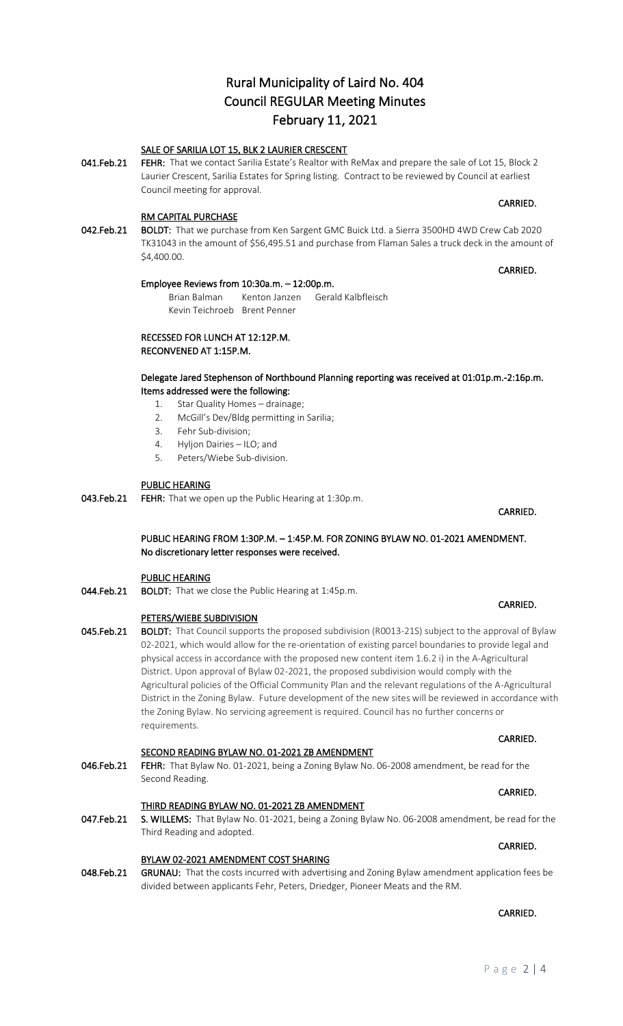# Rural Municipality of Laird No. 404 Council REGULAR Meeting Minutes February 11, 2021

# SALE OF SARILIA LOT 15, BLK 2 LAURIER CRESCENT

041.Feb.21 FEHR: That we contact Sarilia Estate's Realtor with ReMax and prepare the sale of Lot 15, Block 2 Laurier Crescent, Sarilia Estates for Spring listing. Contract to be reviewed by Council at earliest Council meeting for approval.

### **CARRIED.** The contract of the contract of the contract of the contract of the contract of the contract of the contract of the contract of the contract of the contract of the contract of the contract of the contract of the RM CAPITAL PURCHASE

042.Feb.21 BOLDT: That we purchase from Ken Sargent GMC Buick Ltd. a Sierra 3500HD 4WD Crew Cab 2020 TK31043 in the amount of \$56,495.51 and purchase from Flaman Sales a truck deck in the amount of \$4,400.00.

**CARRIED. CARRIED.** 

## Employee Reviews from 10:30a.m. – 12:00p.m.

 Brian Balman Kenton Janzen Gerald Kalbfleisch Kevin Teichroeb Brent Penner

RECESSED FOR LUNCH AT 12:12P.M.

RECONVENED AT 1:15P.M.

### Delegate Jared Stephenson of Northbound Planning reporting was received at 01:01p.m.-2:16p.m. Items addressed were the following:

- 1. Star Quality Homes drainage;
- 2. McGill's Dev/Bldg permitting in Sarilia;
- 3. Fehr Sub-division;
- 4. Hyljon Dairies ILO; and
- 5. Peters/Wiebe Sub-division.

### PUBLIC HEARING

043.Feb.21 FEHR: That we open up the Public Hearing at 1:30p.m.

 PUBLIC HEARING FROM 1:30P.M. – 1:45P.M. FOR ZONING BYLAW NO. 01-2021 AMENDMENT. No discretionary letter responses were received.

#### PUBLIC HEARING

044.Feb.21 BOLDT: That we close the Public Hearing at 1:45p.m.

# PETERS/WIEBE SUBDIVISION<br>O45.Feb.21 BOLDT: That Council support

BOLDT: That Council supports the proposed subdivision (R0013-21S) subject to the approval of Bylaw 02-2021, which would allow for the re-orientation of existing parcel boundaries to provide legal and physical access in accordance with the proposed new content item 1.6.2 i) in the A-Agricultural District. Upon approval of Bylaw 02-2021, the proposed subdivision would comply with the Agricultural policies of the Official Community Plan and the relevant regulations of the A-Agricultural District in the Zoning Bylaw. Future development of the new sites will be reviewed in accordance with the Zoning Bylaw. No servicing agreement is required. Council has no further concerns or requirements.

# SECOND READING BYLAW NO. 01-2021 ZB AMENDMENT

046.Feb.21 FEHR: That Bylaw No. 01-2021, being a Zoning Bylaw No. 06-2008 amendment, be read for the Second Reading.

## THIRD READING BYLAW NO. 01-2021 ZB AMENDMENT

047.Feb.21 S. WILLEMS: That Bylaw No. 01-2021, being a Zoning Bylaw No. 06-2008 amendment, be read for the Third Reading and adopted.

**CARRIED.** The contract of the contract of the contract of the contract of the contract of the contract of the contract of the contract of the contract of the contract of the contract of the contract of the contract of the

# BYLAW 02-2021 AMENDMENT COST SHARING

048.Feb.21 GRUNAU: That the costs incurred with advertising and Zoning Bylaw amendment application fees be divided between applicants Fehr, Peters, Driedger, Pioneer Meats and the RM.

## CARRIED.

## P a g e 2 | 4

**CARRIED. CARRIED.** 

# **CARRIED. CARRIED.**

# **CARRIED.** The contract of the contract of the contract of the contract of the contract of the contract of the contract of the contract of the contract of the contract of the contract of the contract of the contract of the

CARRIED.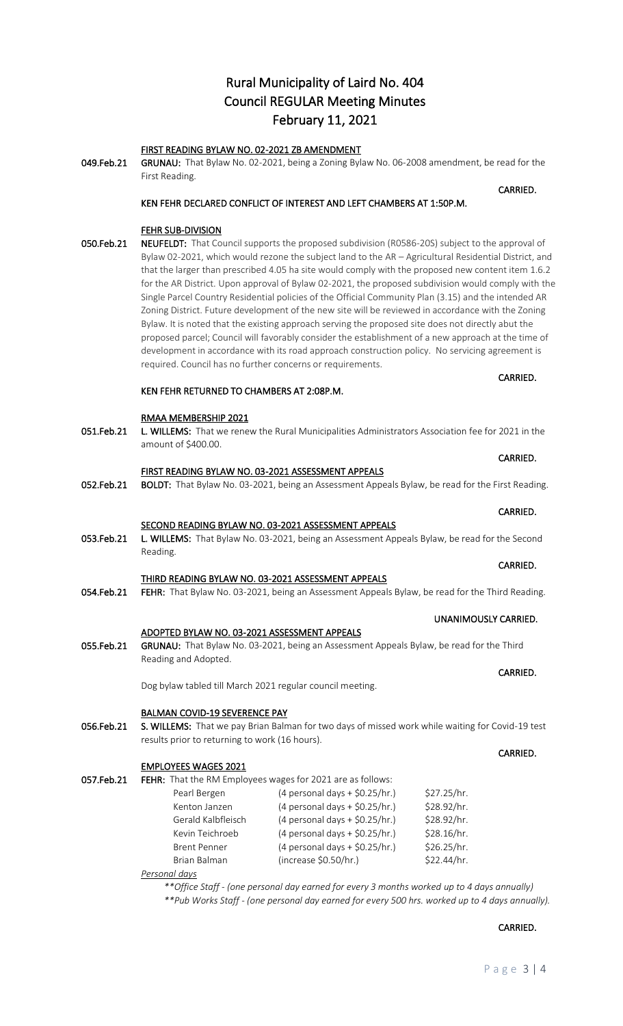CARRIED.

# Rural Municipality of Laird No. 404 Council REGULAR Meeting Minutes February 11, 2021

### FIRST READING BYLAW NO. 02-2021 ZB AMENDMENT

049.Feb.21 GRUNAU: That Bylaw No. 02-2021, being a Zoning Bylaw No. 06-2008 amendment, be read for the First Reading.

#### **CARRIED.** The contract of the contract of the contract of the contract of the contract of the contract of the contract of the contract of the contract of the contract of the contract of the contract of the contract of the KEN FEHR DECLARED CONFLICT OF INTEREST AND LEFT CHAMBERS AT 1:50P.M.

### FEHR SUB-DIVISION

**050.Feb.21** NEUFELDT: That Council supports the proposed subdivision (R0586-20S) subject to the approval of Bylaw 02-2021, which would rezone the subject land to the AR – Agricultural Residential District, and that the larger than prescribed 4.05 ha site would comply with the proposed new content item 1.6.2 for the AR District. Upon approval of Bylaw 02-2021, the proposed subdivision would comply with the Single Parcel Country Residential policies of the Official Community Plan (3.15) and the intended AR Zoning District. Future development of the new site will be reviewed in accordance with the Zoning Bylaw. It is noted that the existing approach serving the proposed site does not directly abut the proposed parcel; Council will favorably consider the establishment of a new approach at the time of development in accordance with its road approach construction policy. No servicing agreement is required. Council has no further concerns or requirements. CARRIED.

#### KEN FEHR RETURNED TO CHAMBERS AT 2:08P.M.

#### RMAA MEMBERSHIP 2021

051.Feb.21 L. WILLEMS: That we renew the Rural Municipalities Administrators Association fee for 2021 in the amount of \$400.00.

**CARRIED.** The contract of the contract of the contract of the contract of the contract of the contract of the contract of the contract of the contract of the contract of the contract of the contract of the contract of the

#### FIRST READING BYLAW NO. 03-2021 ASSESSMENT APPEALS

052.Feb.21 BOLDT: That Bylaw No. 03-2021, being an Assessment Appeals Bylaw, be read for the First Reading.

**CARRIED. CARRIED.** 

### SECOND READING BYLAW NO. 03-2021 ASSESSMENT APPEALS

- 053.Feb.21 L. WILLEMS: That Bylaw No. 03-2021, being an Assessment Appeals Bylaw, be read for the Second Reading.
- THIRD READING BYLAW NO. 03-2021 ASSESSMENT APPEALS 054.Feb.21 FEHR: That Bylaw No. 03-2021, being an Assessment Appeals Bylaw, be read for the Third Reading.

**CARRIED.** The contract of the contract of the contract of the contract of the contract of the contract of the contract of the contract of the contract of the contract of the contract of the contract of the contract of the

# ADOPTED BYLAW NO. 03-2021 ASSESSMENT APPEALS

055.Feb.21 GRUNAU: That Bylaw No. 03-2021, being an Assessment Appeals Bylaw, be read for the Third Reading and Adopted.

Dog bylaw tabled till March 2021 regular council meeting.

### BALMAN COVID-19 SEVERENCE PAY

056.Feb.21 S. WILLEMS: That we pay Brian Balman for two days of missed work while waiting for Covid-19 test results prior to returning to work (16 hours).

### EMPLOYEES WAGES 2021

| 057.Feb.21 | <b>FEHR:</b> That the RM Employees wages for 2021 are as follows: |                                  |             |  |
|------------|-------------------------------------------------------------------|----------------------------------|-------------|--|
|            | Pearl Bergen                                                      | $(4$ personal days + \$0.25/hr.) | \$27.25/hr. |  |
|            | Kenton Janzen                                                     | $(4$ personal days + \$0.25/hr.) | \$28.92/hr. |  |
|            | Gerald Kalbfleisch                                                | $(4$ personal days + \$0.25/hr.) | \$28.92/hr. |  |
|            | Kevin Teichroeb                                                   | $(4$ personal days + \$0.25/hr.) | \$28.16/hr. |  |
|            | <b>Brent Penner</b>                                               | $(4$ personal days + \$0.25/hr.) | \$26.25/hr. |  |
|            | Brian Balman                                                      | (increase \$0.50/hr.)            | \$22.44/hr. |  |

*Personal days*

*\*\*Office Staff - (one personal day earned for every 3 months worked up to 4 days annually) \*\*Pub Works Staff - (one personal day earned for every 500 hrs. worked up to 4 days annually).*

# UNANIMOUSLY CARRIED.

# **CARRIED.** The contract of the contract of the contract of the contract of the contract of the contract of the contract of the contract of the contract of the contract of the contract of the contract of the contract of the

**CARRIED. CARRIED.**